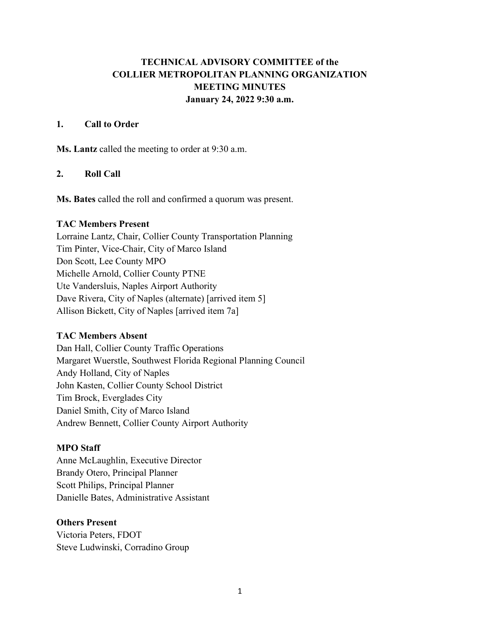# **TECHNICAL ADVISORY COMMITTEE of the COLLIER METROPOLITAN PLANNING ORGANIZATION MEETING MINUTES January 24, 2022 9:30 a.m.**

#### **1. Call to Order**

**Ms. Lantz** called the meeting to order at 9:30 a.m.

## **2. Roll Call**

**Ms. Bates** called the roll and confirmed a quorum was present.

#### **TAC Members Present**

Lorraine Lantz, Chair, Collier County Transportation Planning Tim Pinter, Vice-Chair, City of Marco Island Don Scott, Lee County MPO Michelle Arnold, Collier County PTNE Ute Vandersluis, Naples Airport Authority Dave Rivera, City of Naples (alternate) [arrived item 5] Allison Bickett, City of Naples [arrived item 7a]

### **TAC Members Absent**

Dan Hall, Collier County Traffic Operations Margaret Wuerstle, Southwest Florida Regional Planning Council Andy Holland, City of Naples John Kasten, Collier County School District Tim Brock, Everglades City Daniel Smith, City of Marco Island Andrew Bennett, Collier County Airport Authority

### **MPO Staff**

Anne McLaughlin, Executive Director Brandy Otero, Principal Planner Scott Philips, Principal Planner Danielle Bates, Administrative Assistant

### **Others Present**

Victoria Peters, FDOT Steve Ludwinski, Corradino Group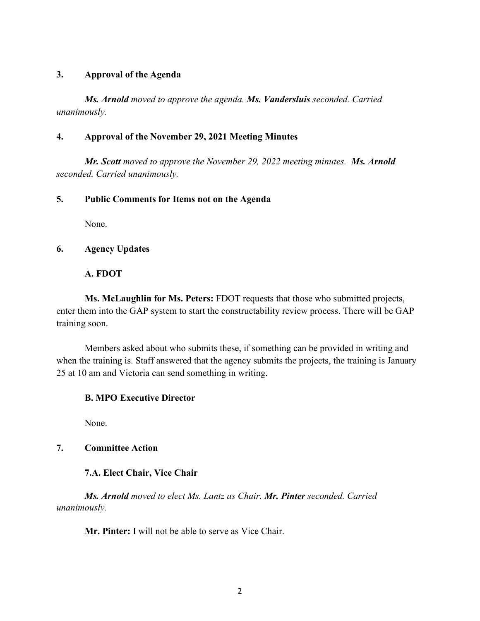## **3. Approval of the Agenda**

*Ms. Arnold moved to approve the agenda. Ms. Vandersluis seconded. Carried unanimously.*

### **4. Approval of the November 29, 2021 Meeting Minutes**

*Mr. Scott moved to approve the November 29, 2022 meeting minutes. Ms. Arnold seconded. Carried unanimously.*

### **5. Public Comments for Items not on the Agenda**

None.

## **6. Agency Updates**

**A. FDOT**

**Ms. McLaughlin for Ms. Peters:** FDOT requests that those who submitted projects, enter them into the GAP system to start the constructability review process. There will be GAP training soon.

Members asked about who submits these, if something can be provided in writing and when the training is. Staff answered that the agency submits the projects, the training is January 25 at 10 am and Victoria can send something in writing.

## **B. MPO Executive Director**

None.

# **7. Committee Action**

## **7.A. Elect Chair, Vice Chair**

*Ms. Arnold moved to elect Ms. Lantz as Chair. Mr. Pinter seconded. Carried unanimously.*

**Mr. Pinter:** I will not be able to serve as Vice Chair.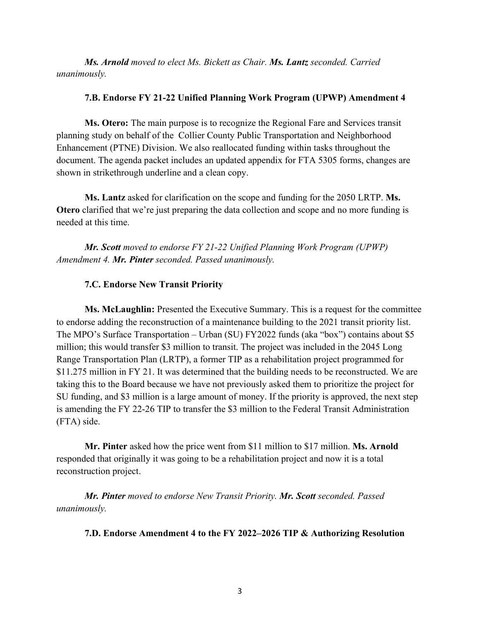*Ms. Arnold moved to elect Ms. Bickett as Chair. Ms. Lantz seconded. Carried unanimously.*

#### **7.B. Endorse FY 21-22 Unified Planning Work Program (UPWP) Amendment 4**

**Ms. Otero:** The main purpose is to recognize the Regional Fare and Services transit planning study on behalf of the Collier County Public Transportation and Neighborhood Enhancement (PTNE) Division. We also reallocated funding within tasks throughout the document. The agenda packet includes an updated appendix for FTA 5305 forms, changes are shown in strikethrough underline and a clean copy.

**Ms. Lantz** asked for clarification on the scope and funding for the 2050 LRTP. **Ms. Otero** clarified that we're just preparing the data collection and scope and no more funding is needed at this time.

*Mr. Scott moved to endorse FY 21-22 Unified Planning Work Program (UPWP) Amendment 4. Mr. Pinter seconded. Passed unanimously.*

#### **7.C. Endorse New Transit Priority**

**Ms. McLaughlin:** Presented the Executive Summary. This is a request for the committee to endorse adding the reconstruction of a maintenance building to the 2021 transit priority list. The MPO's Surface Transportation – Urban (SU) FY2022 funds (aka "box") contains about \$5 million; this would transfer \$3 million to transit. The project was included in the 2045 Long Range Transportation Plan (LRTP), a former TIP as a rehabilitation project programmed for \$11.275 million in FY 21. It was determined that the building needs to be reconstructed. We are taking this to the Board because we have not previously asked them to prioritize the project for SU funding, and \$3 million is a large amount of money. If the priority is approved, the next step is amending the FY 22-26 TIP to transfer the \$3 million to the Federal Transit Administration (FTA) side.

**Mr. Pinter** asked how the price went from \$11 million to \$17 million. **Ms. Arnold** responded that originally it was going to be a rehabilitation project and now it is a total reconstruction project.

*Mr. Pinter moved to endorse New Transit Priority. Mr. Scott seconded. Passed unanimously.*

**7.D. Endorse Amendment 4 to the FY 2022–2026 TIP & Authorizing Resolution**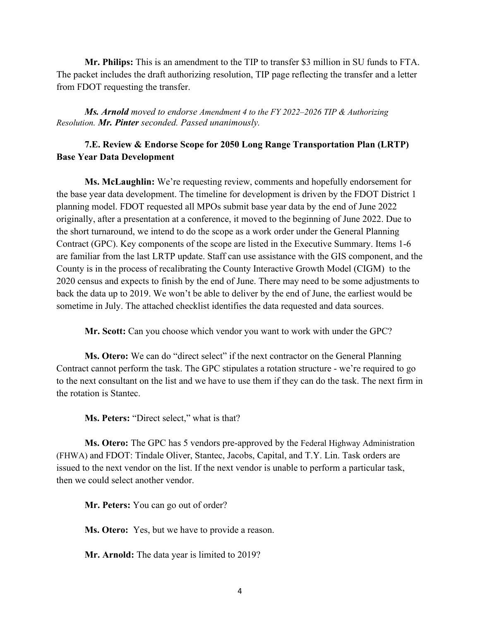**Mr. Philips:** This is an amendment to the TIP to transfer \$3 million in SU funds to FTA. The packet includes the draft authorizing resolution, TIP page reflecting the transfer and a letter from FDOT requesting the transfer.

*Ms. Arnold moved to endorse Amendment 4 to the FY 2022–2026 TIP & Authorizing Resolution. Mr. Pinter seconded. Passed unanimously.*

## **7.E. Review & Endorse Scope for 2050 Long Range Transportation Plan (LRTP) Base Year Data Development**

**Ms. McLaughlin:** We're requesting review, comments and hopefully endorsement for the base year data development. The timeline for development is driven by the FDOT District 1 planning model. FDOT requested all MPOs submit base year data by the end of June 2022 originally, after a presentation at a conference, it moved to the beginning of June 2022. Due to the short turnaround, we intend to do the scope as a work order under the General Planning Contract (GPC). Key components of the scope are listed in the Executive Summary. Items 1-6 are familiar from the last LRTP update. Staff can use assistance with the GIS component, and the County is in the process of recalibrating the County Interactive Growth Model (CIGM) to the 2020 census and expects to finish by the end of June. There may need to be some adjustments to back the data up to 2019. We won't be able to deliver by the end of June, the earliest would be sometime in July. The attached checklist identifies the data requested and data sources.

**Mr. Scott:** Can you choose which vendor you want to work with under the GPC?

**Ms. Otero:** We can do "direct select" if the next contractor on the General Planning Contract cannot perform the task. The GPC stipulates a rotation structure - we're required to go to the next consultant on the list and we have to use them if they can do the task. The next firm in the rotation is Stantec.

**Ms. Peters:** "Direct select," what is that?

**Ms. Otero:** The GPC has 5 vendors pre-approved by the Federal Highway Administration (FHWA) and FDOT: Tindale Oliver, Stantec, Jacobs, Capital, and T.Y. Lin. Task orders are issued to the next vendor on the list. If the next vendor is unable to perform a particular task, then we could select another vendor.

**Mr. Peters:** You can go out of order?

**Ms. Otero:** Yes, but we have to provide a reason.

**Mr. Arnold:** The data year is limited to 2019?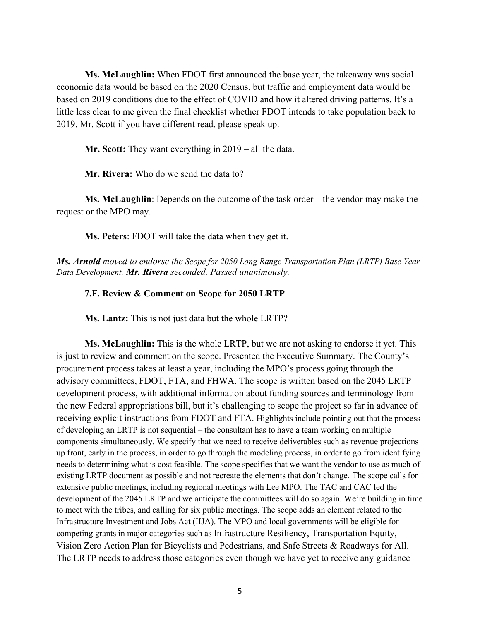**Ms. McLaughlin:** When FDOT first announced the base year, the takeaway was social economic data would be based on the 2020 Census, but traffic and employment data would be based on 2019 conditions due to the effect of COVID and how it altered driving patterns. It's a little less clear to me given the final checklist whether FDOT intends to take population back to 2019. Mr. Scott if you have different read, please speak up.

**Mr. Scott:** They want everything in 2019 – all the data.

**Mr. Rivera:** Who do we send the data to?

**Ms. McLaughlin**: Depends on the outcome of the task order – the vendor may make the request or the MPO may.

**Ms. Peters**: FDOT will take the data when they get it.

*Ms. Arnold moved to endorse the Scope for 2050 Long Range Transportation Plan (LRTP) Base Year Data Development. Mr. Rivera seconded. Passed unanimously.*

#### **7.F. Review & Comment on Scope for 2050 LRTP**

**Ms. Lantz:** This is not just data but the whole LRTP?

**Ms. McLaughlin:** This is the whole LRTP, but we are not asking to endorse it yet. This is just to review and comment on the scope. Presented the Executive Summary. The County's procurement process takes at least a year, including the MPO's process going through the advisory committees, FDOT, FTA, and FHWA. The scope is written based on the 2045 LRTP development process, with additional information about funding sources and terminology from the new Federal appropriations bill, but it's challenging to scope the project so far in advance of receiving explicit instructions from FDOT and FTA. Highlights include pointing out that the process of developing an LRTP is not sequential – the consultant has to have a team working on multiple components simultaneously. We specify that we need to receive deliverables such as revenue projections up front, early in the process, in order to go through the modeling process, in order to go from identifying needs to determining what is cost feasible. The scope specifies that we want the vendor to use as much of existing LRTP document as possible and not recreate the elements that don't change. The scope calls for extensive public meetings, including regional meetings with Lee MPO. The TAC and CAC led the development of the 2045 LRTP and we anticipate the committees will do so again. We're building in time to meet with the tribes, and calling for six public meetings. The scope adds an element related to the Infrastructure Investment and Jobs Act (IIJA). The MPO and local governments will be eligible for competing grants in major categories such as Infrastructure Resiliency, Transportation Equity, Vision Zero Action Plan for Bicyclists and Pedestrians, and Safe Streets & Roadways for All. The LRTP needs to address those categories even though we have yet to receive any guidance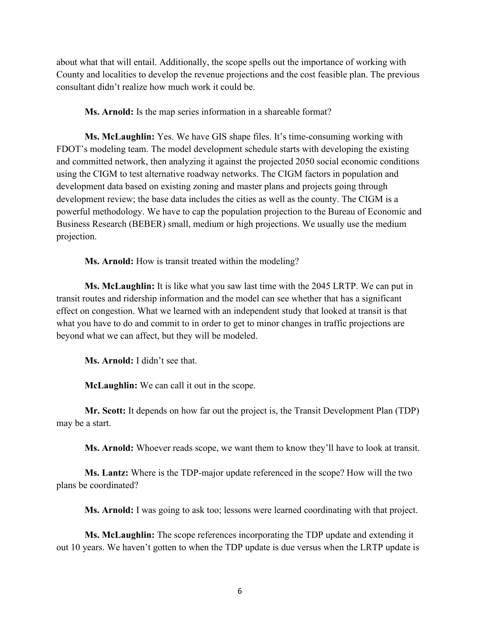about what that will entail. Additionally, the scope spells out the importance of working with County and localities to develop the revenue projections and the cost feasible plan. The previous consultant didn't realize how much work it could be.

**Ms. Arnold:** Is the map series information in a shareable format?

**Ms. McLaughlin:** Yes. We have GIS shape files. It's time-consuming working with FDOT's modeling team. The model development schedule starts with developing the existing and committed network, then analyzing it against the projected 2050 social economic conditions using the CIGM to test alternative roadway networks. The CIGM factors in population and development data based on existing zoning and master plans and projects going through development review; the base data includes the cities as well as the county. The CIGM is a powerful methodology. We have to cap the population projection to the Bureau of Economic and Business Research (BEBER) small, medium or high projections. We usually use the medium projection.

**Ms. Arnold:** How is transit treated within the modeling?

**Ms. McLaughlin:** It is like what you saw last time with the 2045 LRTP. We can put in transit routes and ridership information and the model can see whether that has a significant effect on congestion. What we learned with an independent study that looked at transit is that what you have to do and commit to in order to get to minor changes in traffic projections are beyond what we can affect, but they will be modeled.

**Ms. Arnold:** I didn't see that.

**McLaughlin:** We can call it out in the scope.

**Mr. Scott:** It depends on how far out the project is, the Transit Development Plan (TDP) may be a start.

**Ms. Arnold:** Whoever reads scope, we want them to know they'll have to look at transit.

**Ms. Lantz:** Where is the TDP-major update referenced in the scope? How will the two plans be coordinated?

**Ms. Arnold:** I was going to ask too; lessons were learned coordinating with that project.

**Ms. McLaughlin:** The scope references incorporating the TDP update and extending it out 10 years. We haven't gotten to when the TDP update is due versus when the LRTP update is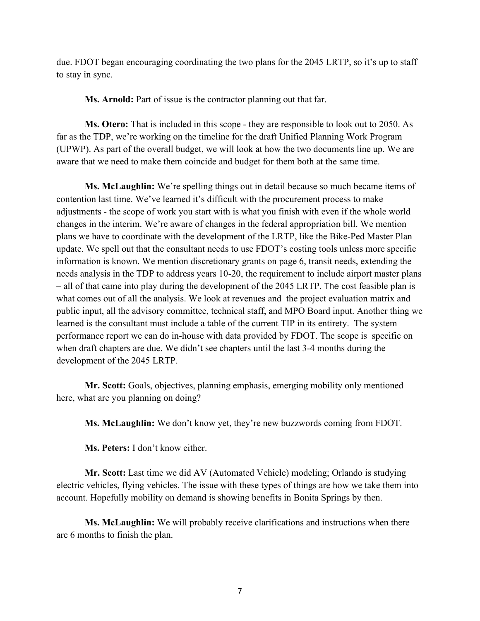due. FDOT began encouraging coordinating the two plans for the 2045 LRTP, so it's up to staff to stay in sync.

**Ms. Arnold:** Part of issue is the contractor planning out that far.

**Ms. Otero:** That is included in this scope - they are responsible to look out to 2050. As far as the TDP, we're working on the timeline for the draft Unified Planning Work Program (UPWP). As part of the overall budget, we will look at how the two documents line up. We are aware that we need to make them coincide and budget for them both at the same time.

**Ms. McLaughlin:** We're spelling things out in detail because so much became items of contention last time. We've learned it's difficult with the procurement process to make adjustments - the scope of work you start with is what you finish with even if the whole world changes in the interim. We're aware of changes in the federal appropriation bill. We mention plans we have to coordinate with the development of the LRTP, like the Bike-Ped Master Plan update. We spell out that the consultant needs to use FDOT's costing tools unless more specific information is known. We mention discretionary grants on page 6, transit needs, extending the needs analysis in the TDP to address years 10-20, the requirement to include airport master plans – all of that came into play during the development of the 2045 LRTP. The cost feasible plan is what comes out of all the analysis. We look at revenues and the project evaluation matrix and public input, all the advisory committee, technical staff, and MPO Board input. Another thing we learned is the consultant must include a table of the current TIP in its entirety. The system performance report we can do in-house with data provided by FDOT. The scope is specific on when draft chapters are due. We didn't see chapters until the last 3-4 months during the development of the 2045 LRTP.

**Mr. Scott:** Goals, objectives, planning emphasis, emerging mobility only mentioned here, what are you planning on doing?

**Ms. McLaughlin:** We don't know yet, they're new buzzwords coming from FDOT.

**Ms. Peters:** I don't know either.

**Mr. Scott:** Last time we did AV (Automated Vehicle) modeling; Orlando is studying electric vehicles, flying vehicles. The issue with these types of things are how we take them into account. Hopefully mobility on demand is showing benefits in Bonita Springs by then.

**Ms. McLaughlin:** We will probably receive clarifications and instructions when there are 6 months to finish the plan.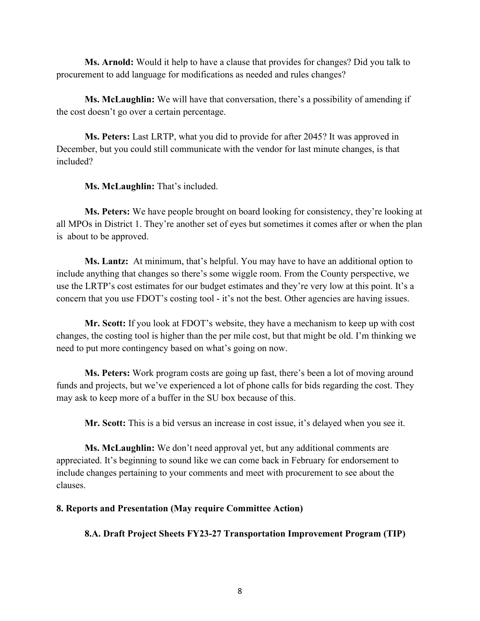**Ms. Arnold:** Would it help to have a clause that provides for changes? Did you talk to procurement to add language for modifications as needed and rules changes?

**Ms. McLaughlin:** We will have that conversation, there's a possibility of amending if the cost doesn't go over a certain percentage.

**Ms. Peters:** Last LRTP, what you did to provide for after 2045? It was approved in December, but you could still communicate with the vendor for last minute changes, is that included?

## **Ms. McLaughlin:** That's included.

**Ms. Peters:** We have people brought on board looking for consistency, they're looking at all MPOs in District 1. They're another set of eyes but sometimes it comes after or when the plan is about to be approved.

**Ms. Lantz:** At minimum, that's helpful. You may have to have an additional option to include anything that changes so there's some wiggle room. From the County perspective, we use the LRTP's cost estimates for our budget estimates and they're very low at this point. It's a concern that you use FDOT's costing tool - it's not the best. Other agencies are having issues.

**Mr. Scott:** If you look at FDOT's website, they have a mechanism to keep up with cost changes, the costing tool is higher than the per mile cost, but that might be old. I'm thinking we need to put more contingency based on what's going on now.

**Ms. Peters:** Work program costs are going up fast, there's been a lot of moving around funds and projects, but we've experienced a lot of phone calls for bids regarding the cost. They may ask to keep more of a buffer in the SU box because of this.

**Mr. Scott:** This is a bid versus an increase in cost issue, it's delayed when you see it.

**Ms. McLaughlin:** We don't need approval yet, but any additional comments are appreciated. It's beginning to sound like we can come back in February for endorsement to include changes pertaining to your comments and meet with procurement to see about the clauses.

### **8. Reports and Presentation (May require Committee Action)**

**8.A. Draft Project Sheets FY23-27 Transportation Improvement Program (TIP)**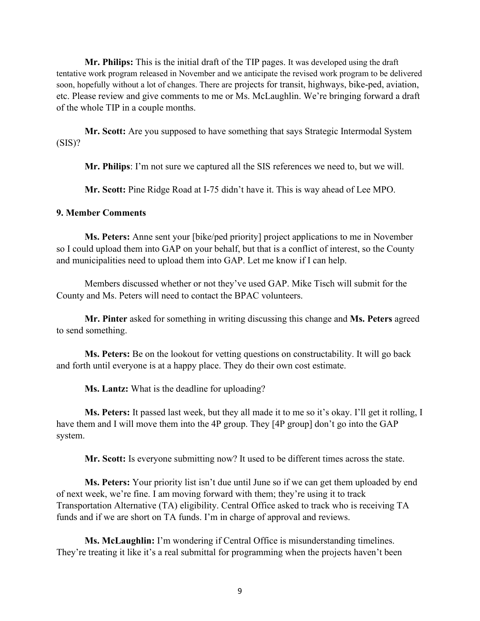**Mr. Philips:** This is the initial draft of the TIP pages. It was developed using the draft tentative work program released in November and we anticipate the revised work program to be delivered soon, hopefully without a lot of changes. There are projects for transit, highways, bike-ped, aviation, etc. Please review and give comments to me or Ms. McLaughlin. We're bringing forward a draft of the whole TIP in a couple months.

**Mr. Scott:** Are you supposed to have something that says Strategic Intermodal System  $(SIS)?$ 

**Mr. Philips**: I'm not sure we captured all the SIS references we need to, but we will.

**Mr. Scott:** Pine Ridge Road at I-75 didn't have it. This is way ahead of Lee MPO.

## **9. Member Comments**

**Ms. Peters:** Anne sent your [bike/ped priority] project applications to me in November so I could upload them into GAP on your behalf, but that is a conflict of interest, so the County and municipalities need to upload them into GAP. Let me know if I can help.

Members discussed whether or not they've used GAP. Mike Tisch will submit for the County and Ms. Peters will need to contact the BPAC volunteers.

**Mr. Pinter** asked for something in writing discussing this change and **Ms. Peters** agreed to send something.

**Ms. Peters:** Be on the lookout for vetting questions on constructability. It will go back and forth until everyone is at a happy place. They do their own cost estimate.

**Ms. Lantz:** What is the deadline for uploading?

**Ms. Peters:** It passed last week, but they all made it to me so it's okay. I'll get it rolling, I have them and I will move them into the 4P group. They [4P group] don't go into the GAP system.

**Mr. Scott:** Is everyone submitting now? It used to be different times across the state.

**Ms. Peters:** Your priority list isn't due until June so if we can get them uploaded by end of next week, we're fine. I am moving forward with them; they're using it to track Transportation Alternative (TA) eligibility. Central Office asked to track who is receiving TA funds and if we are short on TA funds. I'm in charge of approval and reviews.

**Ms. McLaughlin:** I'm wondering if Central Office is misunderstanding timelines. They're treating it like it's a real submittal for programming when the projects haven't been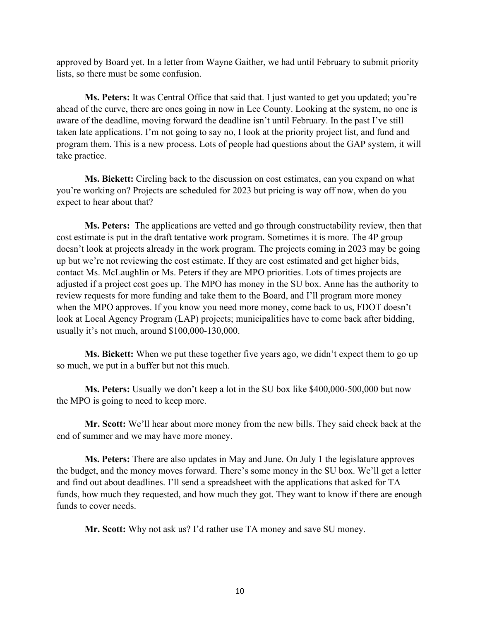approved by Board yet. In a letter from Wayne Gaither, we had until February to submit priority lists, so there must be some confusion.

**Ms. Peters:** It was Central Office that said that. I just wanted to get you updated; you're ahead of the curve, there are ones going in now in Lee County. Looking at the system, no one is aware of the deadline, moving forward the deadline isn't until February. In the past I've still taken late applications. I'm not going to say no, I look at the priority project list, and fund and program them. This is a new process. Lots of people had questions about the GAP system, it will take practice.

**Ms. Bickett:** Circling back to the discussion on cost estimates, can you expand on what you're working on? Projects are scheduled for 2023 but pricing is way off now, when do you expect to hear about that?

**Ms. Peters:** The applications are vetted and go through constructability review, then that cost estimate is put in the draft tentative work program. Sometimes it is more. The 4P group doesn't look at projects already in the work program. The projects coming in 2023 may be going up but we're not reviewing the cost estimate. If they are cost estimated and get higher bids, contact Ms. McLaughlin or Ms. Peters if they are MPO priorities. Lots of times projects are adjusted if a project cost goes up. The MPO has money in the SU box. Anne has the authority to review requests for more funding and take them to the Board, and I'll program more money when the MPO approves. If you know you need more money, come back to us, FDOT doesn't look at Local Agency Program (LAP) projects; municipalities have to come back after bidding, usually it's not much, around \$100,000-130,000.

**Ms. Bickett:** When we put these together five years ago, we didn't expect them to go up so much, we put in a buffer but not this much.

**Ms. Peters:** Usually we don't keep a lot in the SU box like \$400,000-500,000 but now the MPO is going to need to keep more.

**Mr. Scott:** We'll hear about more money from the new bills. They said check back at the end of summer and we may have more money.

**Ms. Peters:** There are also updates in May and June. On July 1 the legislature approves the budget, and the money moves forward. There's some money in the SU box. We'll get a letter and find out about deadlines. I'll send a spreadsheet with the applications that asked for TA funds, how much they requested, and how much they got. They want to know if there are enough funds to cover needs.

**Mr. Scott:** Why not ask us? I'd rather use TA money and save SU money.